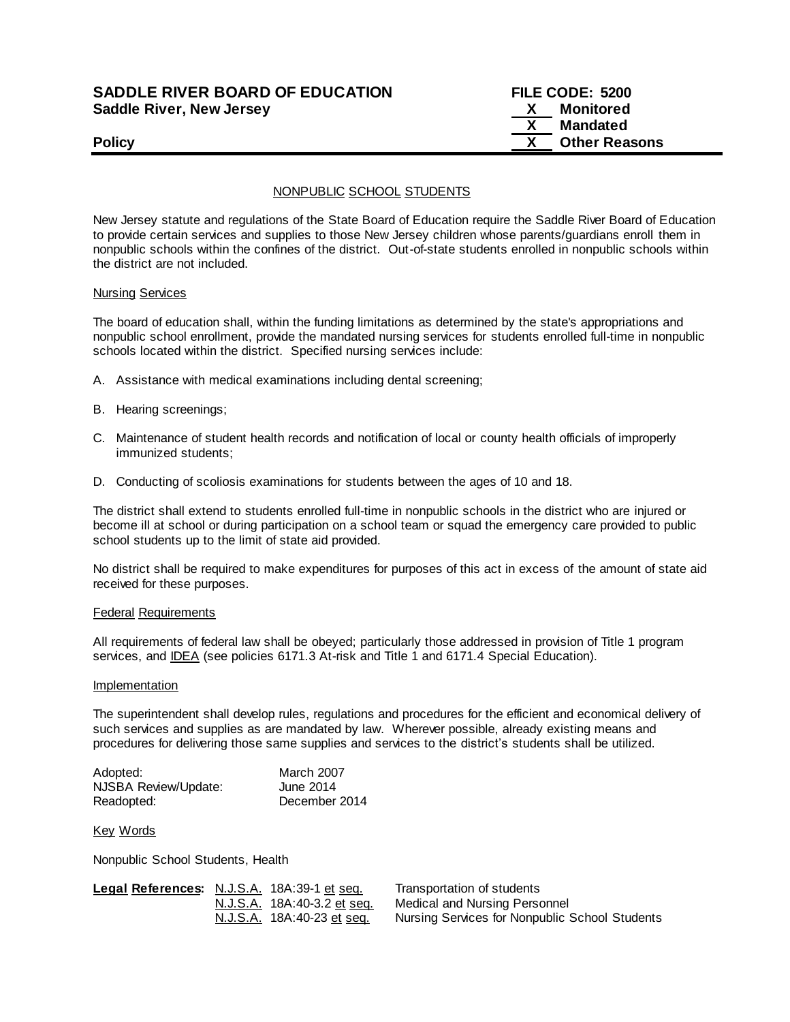## **SADDLE RIVER BOARD OF EDUCATION FILE CODE: 5200 Saddle River, New Jersey X Monitored**

 **X Mandated Policy COLLEGENS Policy COLLEGENS COLLEGENS COLLEGENS X Other Reasons** 

## NONPUBLIC SCHOOL STUDENTS

New Jersey statute and regulations of the State Board of Education require the Saddle River Board of Education to provide certain services and supplies to those New Jersey children whose parents/guardians enroll them in nonpublic schools within the confines of the district. Out-of-state students enrolled in nonpublic schools within the district are not included.

### Nursing Services

The board of education shall, within the funding limitations as determined by the state's appropriations and nonpublic school enrollment, provide the mandated nursing services for students enrolled full-time in nonpublic schools located within the district. Specified nursing services include:

- A. Assistance with medical examinations including dental screening;
- B. Hearing screenings;
- C. Maintenance of student health records and notification of local or county health officials of improperly immunized students;
- D. Conducting of scoliosis examinations for students between the ages of 10 and 18.

The district shall extend to students enrolled full-time in nonpublic schools in the district who are injured or become ill at school or during participation on a school team or squad the emergency care provided to public school students up to the limit of state aid provided.

No district shall be required to make expenditures for purposes of this act in excess of the amount of state aid received for these purposes.

#### Federal Requirements

All requirements of federal law shall be obeyed; particularly those addressed in provision of Title 1 program services, and **IDEA** (see policies 6171.3 At-risk and Title 1 and 6171.4 Special Education).

#### **Implementation**

The superintendent shall develop rules, regulations and procedures for the efficient and economical delivery of such services and supplies as are mandated by law. Wherever possible, already existing means and procedures for delivering those same supplies and services to the district's students shall be utilized.

| Adopted:             | <b>March 2007</b> |
|----------------------|-------------------|
| NJSBA Review/Update: | June 2014         |
| Readopted:           | December 2014     |

#### Key Words

Nonpublic School Students, Health

| Legal References: N.J.S.A. 18A:39-1 et seq. |                                          | Transportation of students                            |
|---------------------------------------------|------------------------------------------|-------------------------------------------------------|
|                                             | N.J.S.A. 18A:40-3.2 et seg.              | Medical and Nursing Personnel                         |
|                                             | <u>N.J.S.A.</u> 18A:40-23 <u>et seq.</u> | <b>Nursing Services for Nonpublic School Students</b> |